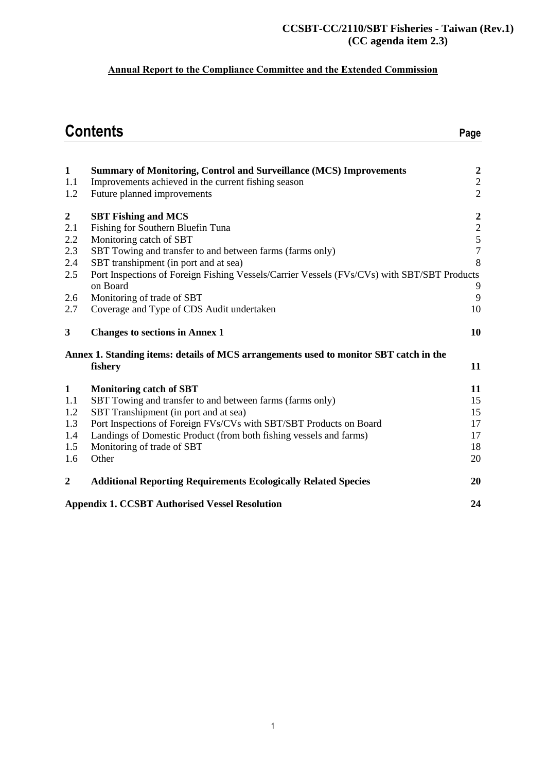#### **CCSBT-CC/2110/SBT Fisheries - Taiwan (Rev.1) (CC agenda item 2.3)**

# **Annual Report to the Compliance Committee and the Extended Commission**

|                         | <b>Contents</b>                                                                             | Page                                       |
|-------------------------|---------------------------------------------------------------------------------------------|--------------------------------------------|
| $\mathbf{1}$            | <b>Summary of Monitoring, Control and Surveillance (MCS) Improvements</b>                   | $\boldsymbol{2}$                           |
| 1.1<br>1.2              | Improvements achieved in the current fishing season<br>Future planned improvements          | $\sqrt{2}$<br>$\overline{2}$               |
|                         |                                                                                             |                                            |
| $\boldsymbol{2}$<br>2.1 | <b>SBT Fishing and MCS</b><br>Fishing for Southern Bluefin Tuna                             |                                            |
| 2.2                     | Monitoring catch of SBT                                                                     | $\begin{array}{c} 2 \\ 2 \\ 5 \end{array}$ |
| 2.3                     | SBT Towing and transfer to and between farms (farms only)                                   | $\overline{7}$                             |
| 2.4                     | SBT transhipment (in port and at sea)                                                       | 8                                          |
| 2.5                     | Port Inspections of Foreign Fishing Vessels/Carrier Vessels (FVs/CVs) with SBT/SBT Products |                                            |
|                         | on Board                                                                                    | 9                                          |
| 2.6                     | Monitoring of trade of SBT                                                                  | 9                                          |
| 2.7                     | Coverage and Type of CDS Audit undertaken                                                   | 10                                         |
| 3                       | <b>Changes to sections in Annex 1</b>                                                       | 10                                         |
|                         | Annex 1. Standing items: details of MCS arrangements used to monitor SBT catch in the       |                                            |
|                         | fishery                                                                                     | 11                                         |
| $\mathbf{1}$            | <b>Monitoring catch of SBT</b>                                                              | 11                                         |
| 1.1                     | SBT Towing and transfer to and between farms (farms only)                                   | 15                                         |
| 1.2                     | SBT Transhipment (in port and at sea)                                                       | 15                                         |
| 1.3                     | Port Inspections of Foreign FVs/CVs with SBT/SBT Products on Board                          | 17                                         |
| 1.4                     | Landings of Domestic Product (from both fishing vessels and farms)                          | 17                                         |
| 1.5                     | Monitoring of trade of SBT                                                                  | 18                                         |
| 1.6                     | Other                                                                                       | 20                                         |
| $\overline{2}$          | <b>Additional Reporting Requirements Ecologically Related Species</b>                       | 20                                         |
|                         | <b>Appendix 1. CCSBT Authorised Vessel Resolution</b>                                       | 24                                         |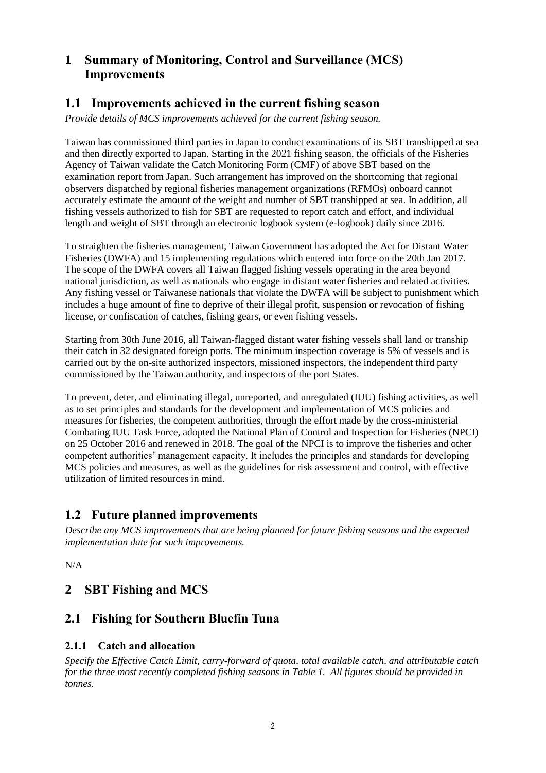# **1 Summary of Monitoring, Control and Surveillance (MCS) Improvements**

# **1.1 Improvements achieved in the current fishing season**

*Provide details of MCS improvements achieved for the current fishing season.*

Taiwan has commissioned third parties in Japan to conduct examinations of its SBT transhipped at sea and then directly exported to Japan. Starting in the 2021 fishing season, the officials of the Fisheries Agency of Taiwan validate the Catch Monitoring Form (CMF) of above SBT based on the examination report from Japan. Such arrangement has improved on the shortcoming that regional observers dispatched by regional fisheries management organizations (RFMOs) onboard cannot accurately estimate the amount of the weight and number of SBT transhipped at sea. In addition, all fishing vessels authorized to fish for SBT are requested to report catch and effort, and individual length and weight of SBT through an electronic logbook system (e-logbook) daily since 2016.

To straighten the fisheries management, Taiwan Government has adopted the Act for Distant Water Fisheries (DWFA) and 15 implementing regulations which entered into force on the 20th Jan 2017. The scope of the DWFA covers all Taiwan flagged fishing vessels operating in the area beyond national jurisdiction, as well as nationals who engage in distant water fisheries and related activities. Any fishing vessel or Taiwanese nationals that violate the DWFA will be subject to punishment which includes a huge amount of fine to deprive of their illegal profit, suspension or revocation of fishing license, or confiscation of catches, fishing gears, or even fishing vessels.

Starting from 30th June 2016, all Taiwan-flagged distant water fishing vessels shall land or tranship their catch in 32 designated foreign ports. The minimum inspection coverage is 5% of vessels and is carried out by the on-site authorized inspectors, missioned inspectors, the independent third party commissioned by the Taiwan authority, and inspectors of the port States.

To prevent, deter, and eliminating illegal, unreported, and unregulated (IUU) fishing activities, as well as to set principles and standards for the development and implementation of MCS policies and measures for fisheries, the competent authorities, through the effort made by the cross-ministerial Combating IUU Task Force, adopted the National Plan of Control and Inspection for Fisheries (NPCI) on 25 October 2016 and renewed in 2018. The goal of the NPCI is to improve the fisheries and other competent authorities' management capacity. It includes the principles and standards for developing MCS policies and measures, as well as the guidelines for risk assessment and control, with effective utilization of limited resources in mind.

# **1.2 Future planned improvements**

*Describe any MCS improvements that are being planned for future fishing seasons and the expected implementation date for such improvements.*

N/A

# **2 SBT Fishing and MCS**

# **2.1 Fishing for Southern Bluefin Tuna**

### **2.1.1 Catch and allocation**

*Specify the Effective Catch Limit, carry-forward of quota, total available catch, and attributable catch for the three most recently completed fishing seasons in Table 1. All figures should be provided in tonnes.*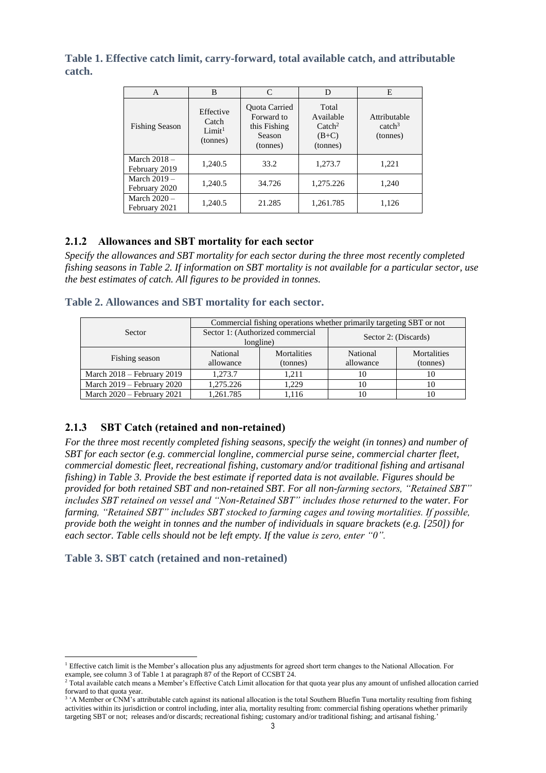**Table 1. Effective catch limit, carry-forward, total available catch, and attributable catch.** 

| A                               | B                                                    | C                                                                 | D                                                             | E                                              |
|---------------------------------|------------------------------------------------------|-------------------------------------------------------------------|---------------------------------------------------------------|------------------------------------------------|
| <b>Fishing Season</b>           | Effective<br>Catch<br>Limit <sup>1</sup><br>(tonnes) | Quota Carried<br>Forward to<br>this Fishing<br>Season<br>(tonnes) | Total<br>Available<br>$\text{Catch}^2$<br>$(B+C)$<br>(tonnes) | Attributable<br>catch <sup>3</sup><br>(tonnes) |
| March $2018 -$<br>February 2019 | 1,240.5                                              | 33.2                                                              | 1,273.7                                                       | 1,221                                          |
| March $2019 -$<br>February 2020 | 1,240.5                                              | 34.726                                                            | 1,275.226                                                     | 1,240                                          |
| March $2020 -$<br>February 2021 | 1,240.5                                              | 21.285                                                            | 1,261.785                                                     | 1,126                                          |

### **2.1.2 Allowances and SBT mortality for each sector**

*Specify the allowances and SBT mortality for each sector during the three most recently completed fishing seasons in Table 2. If information on SBT mortality is not available for a particular sector, use the best estimates of catch. All figures to be provided in tonnes.*

#### **Table 2. Allowances and SBT mortality for each sector.**

|                              |                       | Commercial fishing operations whether primarily targeting SBT or not |                       |                                |
|------------------------------|-----------------------|----------------------------------------------------------------------|-----------------------|--------------------------------|
| Sector                       |                       | Sector 1: (Authorized commercial<br>longline)                        |                       | Sector 2: (Discards)           |
| Fishing season               | National<br>allowance | Mortalities<br>(tonnes)                                              | National<br>allowance | <b>Mortalities</b><br>(tonnes) |
| March $2018$ – February 2019 | 1.273.7               | 1.211                                                                | 10                    | 10                             |
| March 2019 – February 2020   | 1,275.226             | 1.229                                                                | 10                    | 10                             |
| March 2020 - February 2021   | 1,261.785             | 1.116                                                                | 10                    | 10                             |

### **2.1.3 SBT Catch (retained and non-retained)**

*For the three most recently completed fishing seasons, specify the weight (in tonnes) and number of SBT for each sector (e.g. commercial longline, commercial purse seine, commercial charter fleet, commercial domestic fleet, recreational fishing, customary and/or traditional fishing and artisanal fishing) in Table 3. Provide the best estimate if reported data is not available. Figures should be provided for both retained SBT and non-retained SBT. For all non-farming sectors, "Retained SBT" includes SBT retained on vessel and "Non-Retained SBT" includes those returned to the water. For farming, "Retained SBT" includes SBT stocked to farming cages and towing mortalities. If possible, provide both the weight in tonnes and the number of individuals in square brackets (e.g. [250]) for each sector. Table cells should not be left empty. If the value is zero, enter "0".*

#### **Table 3. SBT catch (retained and non-retained)**

l <sup>1</sup> Effective catch limit is the Member's allocation plus any adjustments for agreed short term changes to the National Allocation. For example, see column 3 of Table 1 at paragraph 87 of the Report of CCSBT 24.

<sup>&</sup>lt;sup>2</sup> Total available catch means a Member's Effective Catch Limit allocation for that quota year plus any amount of unfished allocation carried forward to that quota year.

<sup>&</sup>lt;sup>3</sup> 'A Member or CNM's attributable catch against its national allocation is the total Southern Bluefin Tuna mortality resulting from fishing activities within its jurisdiction or control including, inter alia, mortality resulting from: commercial fishing operations whether primarily targeting SBT or not; releases and/or discards; recreational fishing; customary and/or traditional fishing; and artisanal fishing.'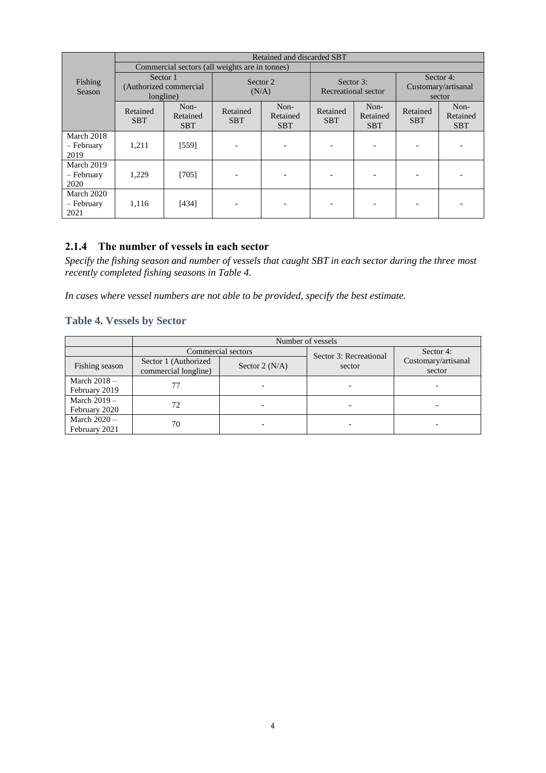|                                  |                                                  |                                |                        | Retained and discarded SBT     |                                  |                                |                                            |                                |
|----------------------------------|--------------------------------------------------|--------------------------------|------------------------|--------------------------------|----------------------------------|--------------------------------|--------------------------------------------|--------------------------------|
|                                  | Commercial sectors (all weights are in tonnes)   |                                |                        |                                |                                  |                                |                                            |                                |
| Fishing<br>Season                | Sector 1<br>(Authorized commercial)<br>longline) |                                | Sector 2<br>(N/A)      |                                | Sector 3:<br>Recreational sector |                                | Sector 4:<br>Customary/artisanal<br>sector |                                |
|                                  | Retained<br><b>SBT</b>                           | Non-<br>Retained<br><b>SBT</b> | Retained<br><b>SBT</b> | Non-<br>Retained<br><b>SBT</b> | Retained<br><b>SBT</b>           | Non-<br>Retained<br><b>SBT</b> | Retained<br><b>SBT</b>                     | Non-<br>Retained<br><b>SBT</b> |
| March 2018<br>- February<br>2019 | 1,211                                            | $[559]$                        |                        |                                |                                  |                                |                                            |                                |
| March 2019<br>- February<br>2020 | 1,229                                            | [705]                          |                        |                                |                                  |                                |                                            |                                |
| March 2020<br>- February<br>2021 | 1.116                                            | [434]                          |                        |                                |                                  |                                |                                            |                                |

#### **2.1.4 The number of vessels in each sector**

*Specify the fishing season and number of vessels that caught SBT in each sector during the three most recently completed fishing seasons in Table 4.*

*In cases where vessel numbers are not able to be provided, specify the best estimate.* 

### **Table 4. Vessels by Sector**

|                                 | Number of vessels                            |                  |                        |                               |  |
|---------------------------------|----------------------------------------------|------------------|------------------------|-------------------------------|--|
|                                 | Commercial sectors                           |                  | Sector 3: Recreational | Sector 4:                     |  |
| Fishing season                  | Sector 1 (Authorized<br>commercial longline) | Sector 2 $(N/A)$ | sector                 | Customary/artisanal<br>sector |  |
| March $2018 -$<br>February 2019 |                                              |                  |                        |                               |  |
| March $2019 -$<br>February 2020 | 72                                           |                  |                        |                               |  |
| March $2020 -$<br>February 2021 | 70                                           |                  |                        |                               |  |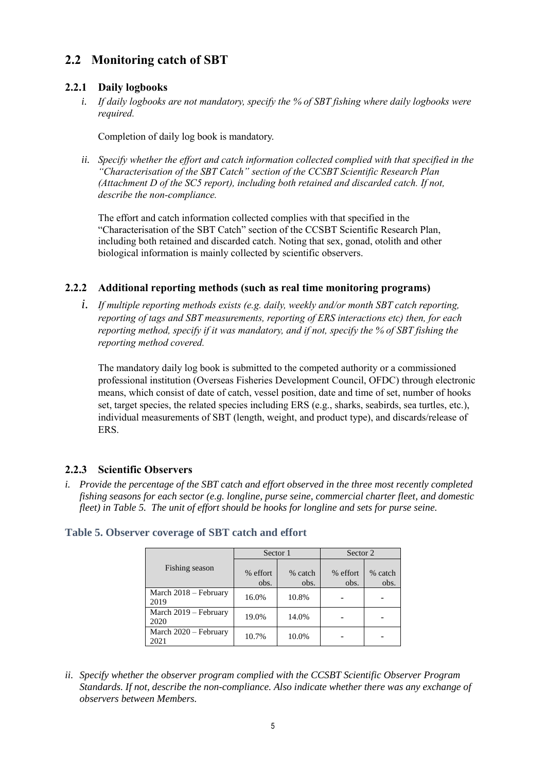# **2.2 Monitoring catch of SBT**

### **2.2.1 Daily logbooks**

*i. If daily logbooks are not mandatory, specify the % of SBT fishing where daily logbooks were required.* 

Completion of daily log book is mandatory.

*ii. Specify whether the effort and catch information collected complied with that specified in the "Characterisation of the SBT Catch" section of the CCSBT Scientific Research Plan (Attachment D of the SC5 report), including both retained and discarded catch. If not, describe the non-compliance.*

The effort and catch information collected complies with that specified in the "Characterisation of the SBT Catch" section of the CCSBT Scientific Research Plan, including both retained and discarded catch. Noting that sex, gonad, otolith and other biological information is mainly collected by scientific observers.

#### **2.2.2 Additional reporting methods (such as real time monitoring programs)**

*i. If multiple reporting methods exists (e.g. daily, weekly and/or month SBT catch reporting, reporting of tags and SBT measurements, reporting of ERS interactions etc) then, for each reporting method, specify if it was mandatory, and if not, specify the % of SBT fishing the reporting method covered.*

The mandatory daily log book is submitted to the competed authority or a commissioned professional institution (Overseas Fisheries Development Council, OFDC) through electronic means, which consist of date of catch, vessel position, date and time of set, number of hooks set, target species, the related species including ERS (e.g., sharks, seabirds, sea turtles, etc.), individual measurements of SBT (length, weight, and product type), and discards/release of ERS.

### **2.2.3 Scientific Observers**

*i. Provide the percentage of the SBT catch and effort observed in the three most recently completed fishing seasons for each sector (e.g. longline, purse seine, commercial charter fleet, and domestic fleet) in Table 5. The unit of effort should be hooks for longline and sets for purse seine.* 

|                               | Sector 1         |                 | Sector 2         |                 |
|-------------------------------|------------------|-----------------|------------------|-----------------|
| Fishing season                | % effort<br>obs. | % catch<br>obs. | % effort<br>obs. | % catch<br>obs. |
| March 2018 – February<br>2019 | 16.0%            | 10.8%           |                  |                 |
| March 2019 – February<br>2020 | 19.0%            | 14.0%           |                  |                 |
| March 2020 - February<br>2021 | 10.7%            | 10.0%           |                  |                 |

#### **Table 5. Observer coverage of SBT catch and effort**

*ii. Specify whether the observer program complied with the CCSBT Scientific Observer Program Standards. If not, describe the non-compliance. Also indicate whether there was any exchange of observers between Members.*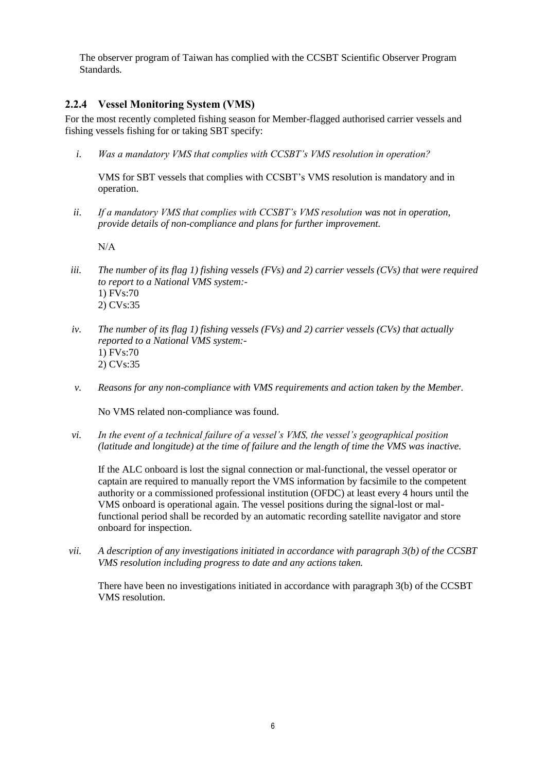The observer program of Taiwan has complied with the CCSBT Scientific Observer Program Standards.

#### **2.2.4 Vessel Monitoring System (VMS)**

For the most recently completed fishing season for Member-flagged authorised carrier vessels and fishing vessels fishing for or taking SBT specify:

*i. Was a mandatory VMS that complies with CCSBT's VMS resolution in operation?*

VMS for SBT vessels that complies with CCSBT's VMS resolution is mandatory and in operation.

*ii. If a mandatory VMS that complies with CCSBT's VMS resolution was not in operation, provide details of non-compliance and plans for further improvement.* 

N/A

- *iii. The number of its flag 1) fishing vessels (FVs) and 2) carrier vessels (CVs) that were required to report to a National VMS system:-* 1) FVs:70 2) CVs:35
- *iv. The number of its flag 1) fishing vessels (FVs) and 2) carrier vessels (CVs) that actually reported to a National VMS system:-* 1) FVs:70 2) CVs:35
- *v. Reasons for any non-compliance with VMS requirements and action taken by the Member.*

No VMS related non-compliance was found.

*vi. In the event of a technical failure of a vessel's VMS, the vessel's geographical position (latitude and longitude) at the time of failure and the length of time the VMS was inactive.*

If the ALC onboard is lost the signal connection or mal-functional, the vessel operator or captain are required to manually report the VMS information by facsimile to the competent authority or a commissioned professional institution (OFDC) at least every 4 hours until the VMS onboard is operational again. The vessel positions during the signal-lost or malfunctional period shall be recorded by an automatic recording satellite navigator and store onboard for inspection.

*vii. A description of any investigations initiated in accordance with paragraph 3(b) of the CCSBT VMS resolution including progress to date and any actions taken.*

There have been no investigations initiated in accordance with paragraph 3(b) of the CCSBT VMS resolution.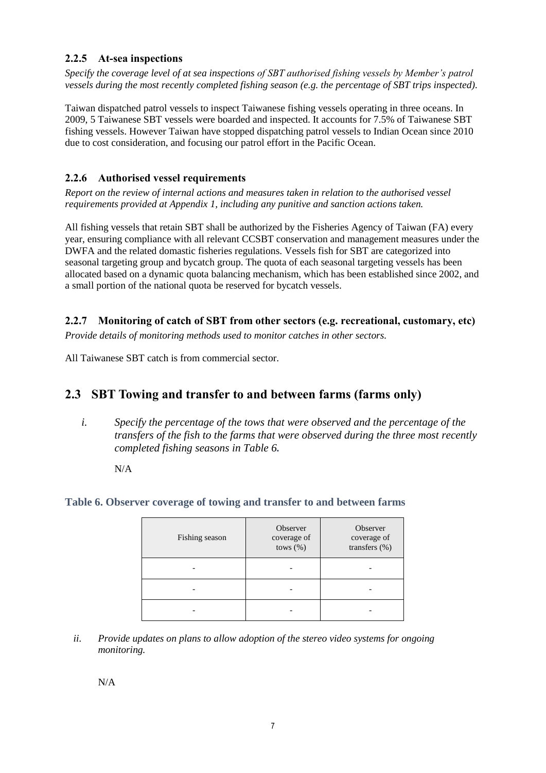### **2.2.5 At-sea inspections**

*Specify the coverage level of at sea inspections of SBT authorised fishing vessels by Member's patrol vessels during the most recently completed fishing season (e.g. the percentage of SBT trips inspected).*

Taiwan dispatched patrol vessels to inspect Taiwanese fishing vessels operating in three oceans. In 2009, 5 Taiwanese SBT vessels were boarded and inspected. It accounts for 7.5% of Taiwanese SBT fishing vessels. However Taiwan have stopped dispatching patrol vessels to Indian Ocean since 2010 due to cost consideration, and focusing our patrol effort in the Pacific Ocean.

#### **2.2.6 Authorised vessel requirements**

*Report on the review of internal actions and measures taken in relation to the authorised vessel requirements provided at Appendix 1, including any punitive and sanction actions taken.*

All fishing vessels that retain SBT shall be authorized by the Fisheries Agency of Taiwan (FA) every year, ensuring compliance with all relevant CCSBT conservation and management measures under the DWFA and the related domastic fisheries regulations. Vessels fish for SBT are categorized into seasonal targeting group and bycatch group. The quota of each seasonal targeting vessels has been allocated based on a dynamic quota balancing mechanism, which has been established since 2002, and a small portion of the national quota be reserved for bycatch vessels.

**2.2.7 Monitoring of catch of SBT from other sectors (e.g. recreational, customary, etc)**

*Provide details of monitoring methods used to monitor catches in other sectors.* 

All Taiwanese SBT catch is from commercial sector.

## **2.3 SBT Towing and transfer to and between farms (farms only)**

*i. Specify the percentage of the tows that were observed and the percentage of the transfers of the fish to the farms that were observed during the three most recently completed fishing seasons in Table 6.*

N/A

#### **Table 6. Observer coverage of towing and transfer to and between farms**

| Fishing season | Observer<br>coverage of<br>tows $(\%)$ | Observer<br>coverage of<br>transfers (%) |
|----------------|----------------------------------------|------------------------------------------|
|                |                                        |                                          |
|                |                                        |                                          |
|                |                                        |                                          |

*ii. Provide updates on plans to allow adoption of the stereo video systems for ongoing monitoring.*

N/A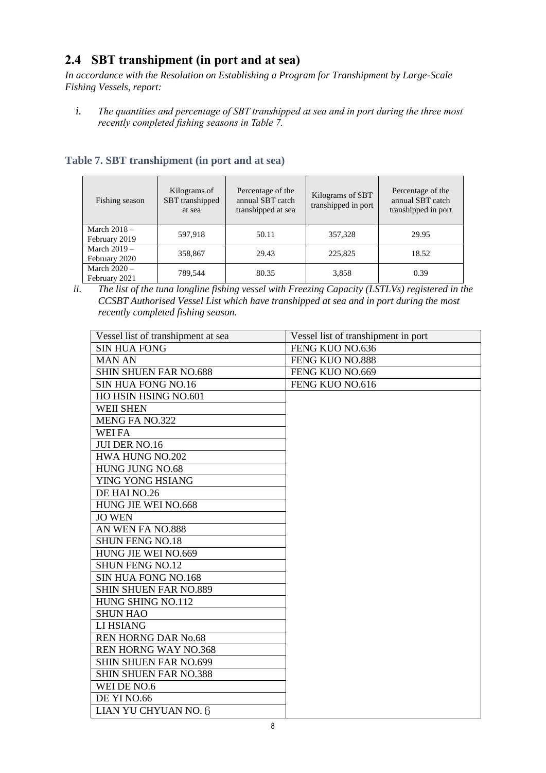# **2.4 SBT transhipment (in port and at sea)**

*In accordance with the Resolution on Establishing a Program for Transhipment by Large-Scale Fishing Vessels, report:*

*i. The quantities and percentage of SBT transhipped at sea and in port during the three most recently completed fishing seasons in Table 7.*

| Fishing season                  | Kilograms of<br>SBT transhipped<br>at sea | Percentage of the<br>annual SBT catch<br>transhipped at sea | Kilograms of SBT<br>transhipped in port | Percentage of the<br>annual SBT catch<br>transhipped in port |
|---------------------------------|-------------------------------------------|-------------------------------------------------------------|-----------------------------------------|--------------------------------------------------------------|
| March $2018 -$<br>February 2019 | 597,918                                   | 50.11                                                       | 357,328                                 | 29.95                                                        |
| March $2019 -$<br>February 2020 | 358,867                                   | 29.43                                                       | 225,825                                 | 18.52                                                        |
| March $2020 -$<br>February 2021 | 789,544                                   | 80.35                                                       | 3,858                                   | 0.39                                                         |

### **Table 7. SBT transhipment (in port and at sea)**

*ii. The list of the tuna longline fishing vessel with Freezing Capacity (LSTLVs) registered in the CCSBT Authorised Vessel List which have transhipped at sea and in port during the most recently completed fishing season.*

| Vessel list of transhipment at sea | Vessel list of transhipment in port |
|------------------------------------|-------------------------------------|
| <b>SIN HUA FONG</b>                | FENG KUO NO.636                     |
| <b>MAN AN</b>                      | FENG KUO NO.888                     |
| <b>SHIN SHUEN FAR NO.688</b>       | FENG KUO NO.669                     |
| SIN HUA FONG NO.16                 | FENG KUO NO.616                     |
| HO HSIN HSING NO.601               |                                     |
| <b>WEII SHEN</b>                   |                                     |
| <b>MENG FA NO.322</b>              |                                     |
| <b>WEI FA</b>                      |                                     |
| <b>JUI DER NO.16</b>               |                                     |
| HWA HUNG NO.202                    |                                     |
| HUNG JUNG NO.68                    |                                     |
| YING YONG HSIANG                   |                                     |
| DE HAI NO.26                       |                                     |
| HUNG JIE WEI NO.668                |                                     |
| <b>JO WEN</b>                      |                                     |
| AN WEN FA NO.888                   |                                     |
| <b>SHUN FENG NO.18</b>             |                                     |
| HUNG JIE WEI NO.669                |                                     |
| <b>SHUN FENG NO.12</b>             |                                     |
| <b>SIN HUA FONG NO.168</b>         |                                     |
| <b>SHIN SHUEN FAR NO.889</b>       |                                     |
| HUNG SHING NO.112                  |                                     |
| <b>SHUN HAO</b>                    |                                     |
| LI HSIANG                          |                                     |
| <b>REN HORNG DAR No.68</b>         |                                     |
| <b>REN HORNG WAY NO.368</b>        |                                     |
| <b>SHIN SHUEN FAR NO.699</b>       |                                     |
| <b>SHIN SHUEN FAR NO.388</b>       |                                     |
| WEI DE NO.6                        |                                     |
| DE YI NO.66                        |                                     |
| LIAN YU CHYUAN NO. 6               |                                     |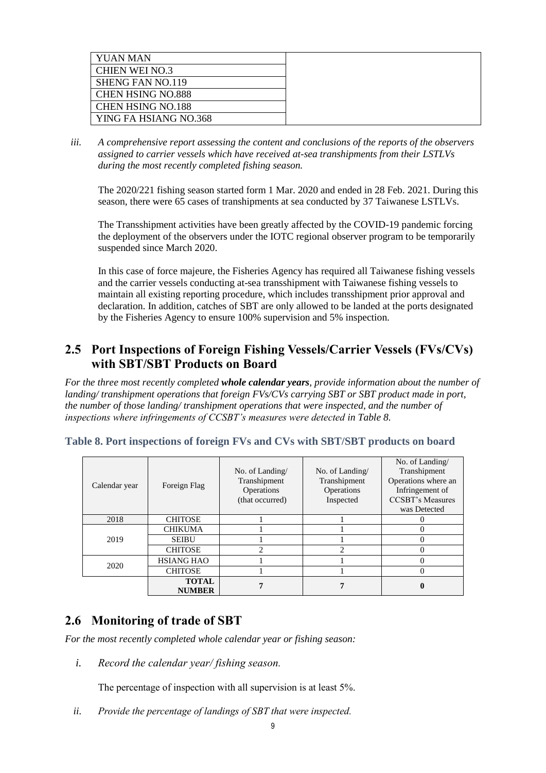| YUAN MAN                 |  |
|--------------------------|--|
| <b>CHIEN WEI NO.3</b>    |  |
| <b>SHENG FAN NO.119</b>  |  |
| <b>CHEN HSING NO.888</b> |  |
| <b>CHEN HSING NO.188</b> |  |
| YING FA HSIANG NO.368    |  |

*iii. A comprehensive report assessing the content and conclusions of the reports of the observers assigned to carrier vessels which have received at-sea transhipments from their LSTLVs during the most recently completed fishing season.*

The 2020/221 fishing season started form 1 Mar. 2020 and ended in 28 Feb. 2021. During this season, there were 65 cases of transhipments at sea conducted by 37 Taiwanese LSTLVs.

The Transshipment activities have been greatly affected by the COVID-19 pandemic forcing the deployment of the observers under the IOTC regional observer program to be temporarily suspended since March 2020.

In this case of force majeure, the Fisheries Agency has required all Taiwanese fishing vessels and the carrier vessels conducting at-sea transshipment with Taiwanese fishing vessels to maintain all existing reporting procedure, which includes transshipment prior approval and declaration. In addition, catches of SBT are only allowed to be landed at the ports designated by the Fisheries Agency to ensure 100% supervision and 5% inspection.

## **2.5 Port Inspections of Foreign Fishing Vessels/Carrier Vessels (FVs/CVs) with SBT/SBT Products on Board**

*For the three most recently completed whole calendar years, provide information about the number of landing/ transhipment operations that foreign FVs/CVs carrying SBT or SBT product made in port, the number of those landing/ transhipment operations that were inspected, and the number of inspections where infringements of CCSBT's measures were detected in Table 8.*

| Calendar year | Foreign Flag                  | No. of Landing/<br>Transhipment<br>Operations<br>(that occurred) | No. of Landing/<br>Transhipment<br>Operations<br>Inspected | No. of Landing/<br>Transhipment<br>Operations where an<br>Infringement of<br><b>CCSBT's Measures</b><br>was Detected |
|---------------|-------------------------------|------------------------------------------------------------------|------------------------------------------------------------|----------------------------------------------------------------------------------------------------------------------|
| 2018          | <b>CHITOSE</b>                |                                                                  |                                                            |                                                                                                                      |
|               | <b>CHIKUMA</b>                |                                                                  |                                                            |                                                                                                                      |
| 2019          | <b>SEIBU</b>                  |                                                                  |                                                            |                                                                                                                      |
|               | <b>CHITOSE</b>                | ↑                                                                | っ                                                          |                                                                                                                      |
| 2020          | <b>HSIANG HAO</b>             |                                                                  |                                                            |                                                                                                                      |
|               | <b>CHITOSE</b>                |                                                                  |                                                            |                                                                                                                      |
|               | <b>TOTAL</b><br><b>NUMBER</b> |                                                                  |                                                            |                                                                                                                      |

#### **Table 8. Port inspections of foreign FVs and CVs with SBT/SBT products on board**

### **2.6 Monitoring of trade of SBT**

*For the most recently completed whole calendar year or fishing season:*

*i. Record the calendar year/ fishing season.*

The percentage of inspection with all supervision is at least 5%.

*ii. Provide the percentage of landings of SBT that were inspected.*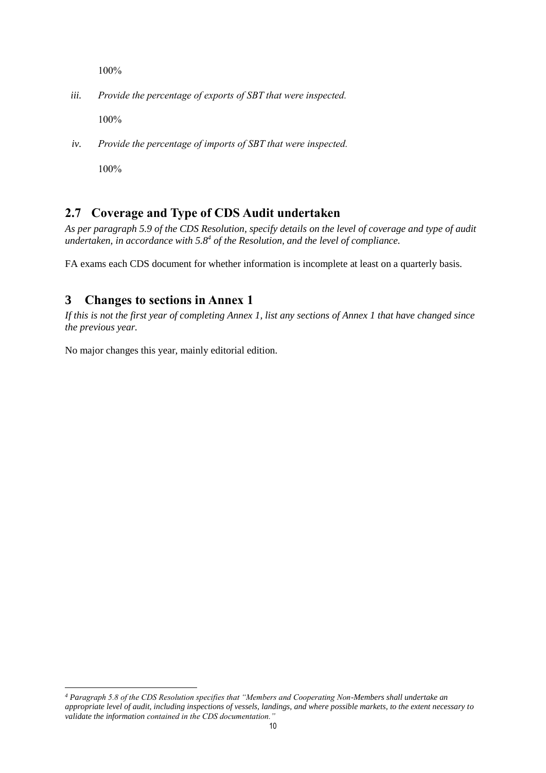100%

*iii. Provide the percentage of exports of SBT that were inspected.*

100%

*iv. Provide the percentage of imports of SBT that were inspected.*

100%

l

# **2.7 Coverage and Type of CDS Audit undertaken**

*As per paragraph 5.9 of the CDS Resolution, specify details on the level of coverage and type of audit undertaken, in accordance with 5.8<sup>4</sup> of the Resolution, and the level of compliance.*

FA exams each CDS document for whether information is incomplete at least on a quarterly basis.

## **3 Changes to sections in Annex 1**

*If this is not the first year of completing Annex 1, list any sections of Annex 1 that have changed since the previous year.* 

No major changes this year, mainly editorial edition.

*<sup>4</sup> Paragraph 5.8 of the CDS Resolution specifies that "Members and Cooperating Non-Members shall undertake an appropriate level of audit, including inspections of vessels, landings, and where possible markets, to the extent necessary to validate the information contained in the CDS documentation."*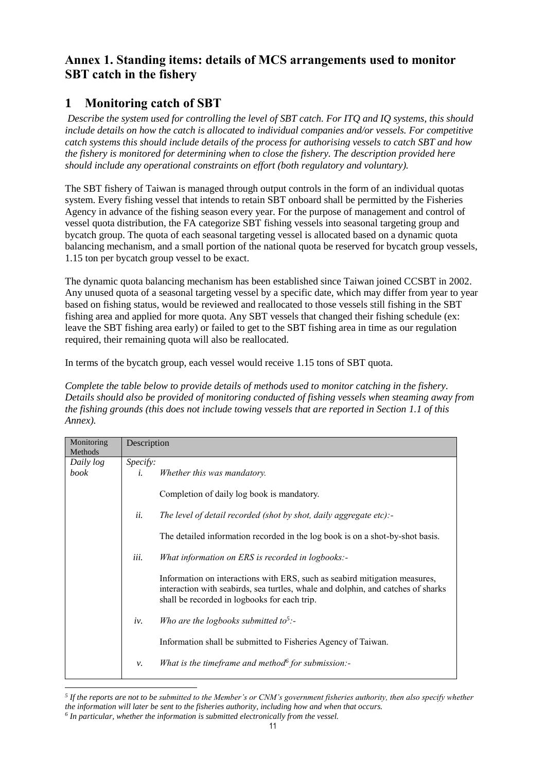## **Annex 1. Standing items: details of MCS arrangements used to monitor SBT catch in the fishery**

# **1 Monitoring catch of SBT**

*Describe the system used for controlling the level of SBT catch. For ITQ and IQ systems, this should include details on how the catch is allocated to individual companies and/or vessels. For competitive catch systems this should include details of the process for authorising vessels to catch SBT and how the fishery is monitored for determining when to close the fishery. The description provided here should include any operational constraints on effort (both regulatory and voluntary).* 

The SBT fishery of Taiwan is managed through output controls in the form of an individual quotas system. Every fishing vessel that intends to retain SBT onboard shall be permitted by the Fisheries Agency in advance of the fishing season every year. For the purpose of management and control of vessel quota distribution, the FA categorize SBT fishing vessels into seasonal targeting group and bycatch group. The quota of each seasonal targeting vessel is allocated based on a dynamic quota balancing mechanism, and a small portion of the national quota be reserved for bycatch group vessels, 1.15 ton per bycatch group vessel to be exact.

The dynamic quota balancing mechanism has been established since Taiwan joined CCSBT in 2002. Any unused quota of a seasonal targeting vessel by a specific date, which may differ from year to year based on fishing status, would be reviewed and reallocated to those vessels still fishing in the SBT fishing area and applied for more quota. Any SBT vessels that changed their fishing schedule (ex: leave the SBT fishing area early) or failed to get to the SBT fishing area in time as our regulation required, their remaining quota will also be reallocated.

In terms of the bycatch group, each vessel would receive 1.15 tons of SBT quota.

*Complete the table below to provide details of methods used to monitor catching in the fishery. Details should also be provided of monitoring conducted of fishing vessels when steaming away from the fishing grounds (this does not include towing vessels that are reported in Section 1.1 of this Annex).*

| Monitoring<br>Methods | Description                                                                                                                                                                                                    |  |  |  |  |
|-----------------------|----------------------------------------------------------------------------------------------------------------------------------------------------------------------------------------------------------------|--|--|--|--|
| Daily log             | <i>Specify:</i>                                                                                                                                                                                                |  |  |  |  |
| book                  | Whether this was mandatory.<br>i.                                                                                                                                                                              |  |  |  |  |
|                       | Completion of daily log book is mandatory.                                                                                                                                                                     |  |  |  |  |
|                       | ii.<br>The level of detail recorded (shot by shot, daily aggregate etc):-                                                                                                                                      |  |  |  |  |
|                       | The detailed information recorded in the log book is on a shot-by-shot basis.                                                                                                                                  |  |  |  |  |
|                       | iii.<br>What information on ERS is recorded in logbooks:-                                                                                                                                                      |  |  |  |  |
|                       | Information on interactions with ERS, such as seabird mitigation measures,<br>interaction with seabirds, sea turtles, whale and dolphin, and catches of sharks<br>shall be recorded in logbooks for each trip. |  |  |  |  |
|                       | Who are the logbooks submitted to <sup>5</sup> :-<br>iv.                                                                                                                                                       |  |  |  |  |
|                       | Information shall be submitted to Fisheries Agency of Taiwan.                                                                                                                                                  |  |  |  |  |
|                       | What is the timeframe and method for submission:-<br>ν.                                                                                                                                                        |  |  |  |  |

*<sup>5</sup> If the reports are not to be submitted to the Member's or CNM's government fisheries authority, then also specify whether the information will later be sent to the fisheries authority, including how and when that occurs.*

l

*<sup>6</sup> In particular, whether the information is submitted electronically from the vessel.*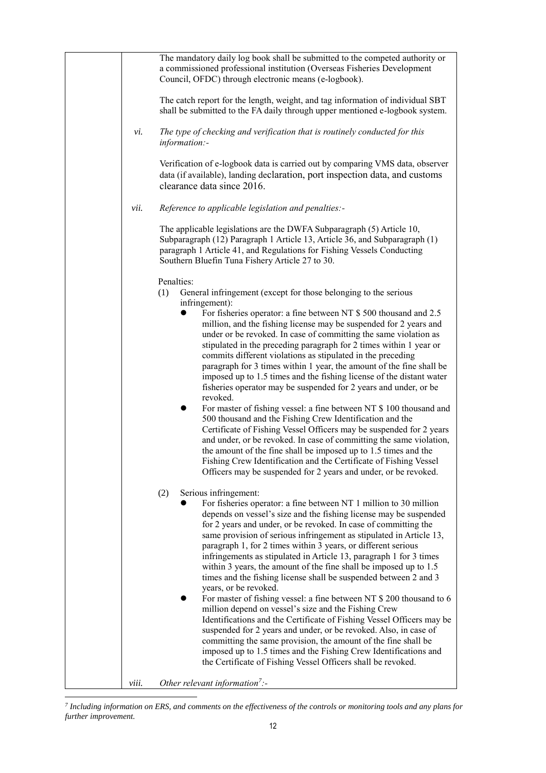|              | The mandatory daily log book shall be submitted to the competed authority or<br>a commissioned professional institution (Overseas Fisheries Development<br>Council, OFDC) through electronic means (e-logbook).                                                                  |
|--------------|----------------------------------------------------------------------------------------------------------------------------------------------------------------------------------------------------------------------------------------------------------------------------------|
|              | The catch report for the length, weight, and tag information of individual SBT<br>shall be submitted to the FA daily through upper mentioned e-logbook system.                                                                                                                   |
| vi.          | The type of checking and verification that is routinely conducted for this<br>information:-                                                                                                                                                                                      |
|              | Verification of e-logbook data is carried out by comparing VMS data, observer<br>data (if available), landing declaration, port inspection data, and customs<br>clearance data since 2016.                                                                                       |
| vii.         | Reference to applicable legislation and penalties:-                                                                                                                                                                                                                              |
|              | The applicable legislations are the DWFA Subparagraph (5) Article 10,<br>Subparagraph (12) Paragraph 1 Article 13, Article 36, and Subparagraph (1)<br>paragraph 1 Article 41, and Regulations for Fishing Vessels Conducting<br>Southern Bluefin Tuna Fishery Article 27 to 30. |
|              | Penalties:                                                                                                                                                                                                                                                                       |
|              | General infringement (except for those belonging to the serious<br>(1)<br>infringement):                                                                                                                                                                                         |
|              | For fisheries operator: a fine between NT \$ 500 thousand and 2.5                                                                                                                                                                                                                |
|              | million, and the fishing license may be suspended for 2 years and                                                                                                                                                                                                                |
|              | under or be revoked. In case of committing the same violation as<br>stipulated in the preceding paragraph for 2 times within 1 year or                                                                                                                                           |
|              | commits different violations as stipulated in the preceding                                                                                                                                                                                                                      |
|              | paragraph for 3 times within 1 year, the amount of the fine shall be                                                                                                                                                                                                             |
|              | imposed up to 1.5 times and the fishing license of the distant water                                                                                                                                                                                                             |
|              | fisheries operator may be suspended for 2 years and under, or be<br>revoked.                                                                                                                                                                                                     |
|              | For master of fishing vessel: a fine between NT \$ 100 thousand and                                                                                                                                                                                                              |
|              | 500 thousand and the Fishing Crew Identification and the                                                                                                                                                                                                                         |
|              | Certificate of Fishing Vessel Officers may be suspended for 2 years                                                                                                                                                                                                              |
|              | and under, or be revoked. In case of committing the same violation,<br>the amount of the fine shall be imposed up to 1.5 times and the                                                                                                                                           |
|              | Fishing Crew Identification and the Certificate of Fishing Vessel                                                                                                                                                                                                                |
|              | Officers may be suspended for 2 years and under, or be revoked.                                                                                                                                                                                                                  |
|              | Serious infringement:<br>(2)                                                                                                                                                                                                                                                     |
|              | For fisheries operator: a fine between NT 1 million to 30 million                                                                                                                                                                                                                |
|              | depends on vessel's size and the fishing license may be suspended<br>for 2 years and under, or be revoked. In case of committing the                                                                                                                                             |
|              | same provision of serious infringement as stipulated in Article 13,                                                                                                                                                                                                              |
|              | paragraph 1, for 2 times within 3 years, or different serious                                                                                                                                                                                                                    |
|              | infringements as stipulated in Article 13, paragraph 1 for 3 times<br>within 3 years, the amount of the fine shall be imposed up to 1.5                                                                                                                                          |
|              | times and the fishing license shall be suspended between 2 and 3                                                                                                                                                                                                                 |
|              | years, or be revoked.                                                                                                                                                                                                                                                            |
|              | For master of fishing vessel: a fine between NT \$ 200 thousand to 6<br>million depend on vessel's size and the Fishing Crew                                                                                                                                                     |
|              | Identifications and the Certificate of Fishing Vessel Officers may be                                                                                                                                                                                                            |
|              | suspended for 2 years and under, or be revoked. Also, in case of                                                                                                                                                                                                                 |
|              | committing the same provision, the amount of the fine shall be<br>imposed up to 1.5 times and the Fishing Crew Identifications and                                                                                                                                               |
|              | the Certificate of Fishing Vessel Officers shall be revoked.                                                                                                                                                                                                                     |
| <i>viii.</i> | Other relevant information <sup>7</sup> :-                                                                                                                                                                                                                                       |
|              |                                                                                                                                                                                                                                                                                  |

 *7 Including information on ERS, and comments on the effectiveness of the controls or monitoring tools and any plans for further improvement.*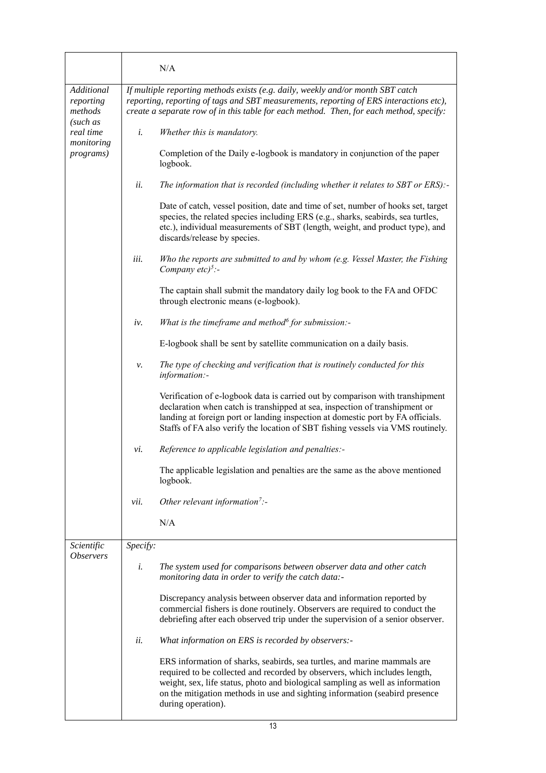|                                                                                                | N/A                                                                                                                                                                                                                                                                                                                                           |
|------------------------------------------------------------------------------------------------|-----------------------------------------------------------------------------------------------------------------------------------------------------------------------------------------------------------------------------------------------------------------------------------------------------------------------------------------------|
| Additional<br>reporting<br>methods<br>(such as<br>real time<br>monitoring<br><i>programs</i> ) | If multiple reporting methods exists (e.g. daily, weekly and/or month SBT catch<br>reporting, reporting of tags and SBT measurements, reporting of ERS interactions etc),<br>create a separate row of in this table for each method. Then, for each method, specify:                                                                          |
|                                                                                                | i.<br>Whether this is mandatory.                                                                                                                                                                                                                                                                                                              |
|                                                                                                | Completion of the Daily e-logbook is mandatory in conjunction of the paper<br>logbook.                                                                                                                                                                                                                                                        |
|                                                                                                | ii.<br>The information that is recorded (including whether it relates to SBT or ERS):-                                                                                                                                                                                                                                                        |
|                                                                                                | Date of catch, vessel position, date and time of set, number of hooks set, target<br>species, the related species including ERS (e.g., sharks, seabirds, sea turtles,<br>etc.), individual measurements of SBT (length, weight, and product type), and<br>discards/release by species.                                                        |
|                                                                                                | iii.<br>Who the reports are submitted to and by whom (e.g. Vessel Master, the Fishing<br>Company $etc$ <sup>5</sup> :-                                                                                                                                                                                                                        |
|                                                                                                | The captain shall submit the mandatory daily log book to the FA and OFDC<br>through electronic means (e-logbook).                                                                                                                                                                                                                             |
|                                                                                                | What is the timeframe and method $\delta$ for submission:-<br>iv.                                                                                                                                                                                                                                                                             |
|                                                                                                | E-logbook shall be sent by satellite communication on a daily basis.                                                                                                                                                                                                                                                                          |
|                                                                                                | The type of checking and verification that is routinely conducted for this<br>ν.<br>information:-                                                                                                                                                                                                                                             |
|                                                                                                | Verification of e-logbook data is carried out by comparison with transhipment<br>declaration when catch is transhipped at sea, inspection of transhipment or<br>landing at foreign port or landing inspection at domestic port by FA officials.<br>Staffs of FA also verify the location of SBT fishing vessels via VMS routinely.            |
|                                                                                                | Reference to applicable legislation and penalties:-<br>vi.                                                                                                                                                                                                                                                                                    |
|                                                                                                | The applicable legislation and penalties are the same as the above mentioned<br>logbook.                                                                                                                                                                                                                                                      |
|                                                                                                | Other relevant information <sup>7</sup> :-<br>vii.                                                                                                                                                                                                                                                                                            |
|                                                                                                | N/A                                                                                                                                                                                                                                                                                                                                           |
| Scientific<br><i><b>Observers</b></i>                                                          | Specify:                                                                                                                                                                                                                                                                                                                                      |
|                                                                                                | i.<br>The system used for comparisons between observer data and other catch<br>monitoring data in order to verify the catch data:-                                                                                                                                                                                                            |
|                                                                                                | Discrepancy analysis between observer data and information reported by<br>commercial fishers is done routinely. Observers are required to conduct the<br>debriefing after each observed trip under the supervision of a senior observer.                                                                                                      |
|                                                                                                | ii.<br>What information on ERS is recorded by observers:-                                                                                                                                                                                                                                                                                     |
|                                                                                                | ERS information of sharks, seabirds, sea turtles, and marine mammals are<br>required to be collected and recorded by observers, which includes length,<br>weight, sex, life status, photo and biological sampling as well as information<br>on the mitigation methods in use and sighting information (seabird presence<br>during operation). |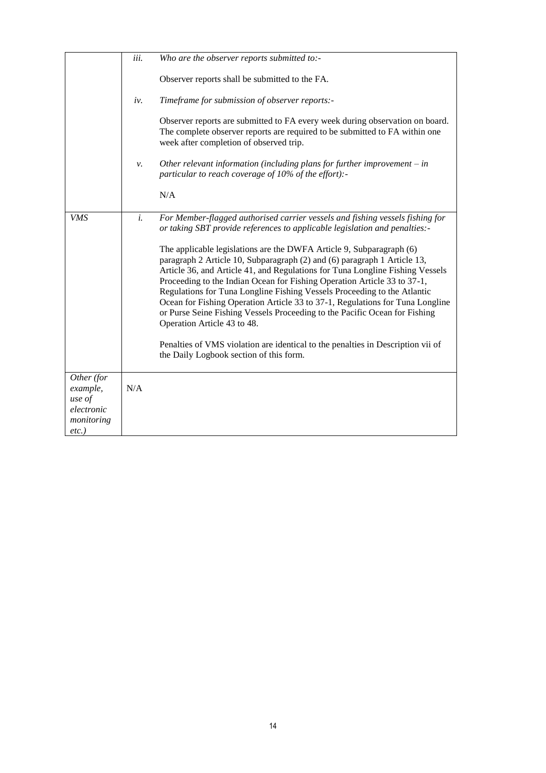|                                                                          | iii. | Who are the observer reports submitted to:-                                                                                                                                                                                                                                                                                                                                                                                                                                                                                                                                             |
|--------------------------------------------------------------------------|------|-----------------------------------------------------------------------------------------------------------------------------------------------------------------------------------------------------------------------------------------------------------------------------------------------------------------------------------------------------------------------------------------------------------------------------------------------------------------------------------------------------------------------------------------------------------------------------------------|
|                                                                          |      | Observer reports shall be submitted to the FA.                                                                                                                                                                                                                                                                                                                                                                                                                                                                                                                                          |
|                                                                          | iv.  | Timeframe for submission of observer reports:-                                                                                                                                                                                                                                                                                                                                                                                                                                                                                                                                          |
|                                                                          |      | Observer reports are submitted to FA every week during observation on board.<br>The complete observer reports are required to be submitted to FA within one<br>week after completion of observed trip.                                                                                                                                                                                                                                                                                                                                                                                  |
|                                                                          | ν.   | Other relevant information (including plans for further improvement $-$ in<br>particular to reach coverage of 10% of the effort):-                                                                                                                                                                                                                                                                                                                                                                                                                                                      |
|                                                                          |      | N/A                                                                                                                                                                                                                                                                                                                                                                                                                                                                                                                                                                                     |
| VMS                                                                      | i.   | For Member-flagged authorised carrier vessels and fishing vessels fishing for<br>or taking SBT provide references to applicable legislation and penalties:-                                                                                                                                                                                                                                                                                                                                                                                                                             |
|                                                                          |      | The applicable legislations are the DWFA Article 9, Subparagraph (6)<br>paragraph 2 Article 10, Subparagraph (2) and (6) paragraph 1 Article 13,<br>Article 36, and Article 41, and Regulations for Tuna Longline Fishing Vessels<br>Proceeding to the Indian Ocean for Fishing Operation Article 33 to 37-1,<br>Regulations for Tuna Longline Fishing Vessels Proceeding to the Atlantic<br>Ocean for Fishing Operation Article 33 to 37-1, Regulations for Tuna Longline<br>or Purse Seine Fishing Vessels Proceeding to the Pacific Ocean for Fishing<br>Operation Article 43 to 48. |
|                                                                          |      | Penalties of VMS violation are identical to the penalties in Description vii of<br>the Daily Logbook section of this form.                                                                                                                                                                                                                                                                                                                                                                                                                                                              |
| Other (for<br>example,<br>use of<br>electronic<br>monitoring<br>$etc.$ ) | N/A  |                                                                                                                                                                                                                                                                                                                                                                                                                                                                                                                                                                                         |
|                                                                          |      |                                                                                                                                                                                                                                                                                                                                                                                                                                                                                                                                                                                         |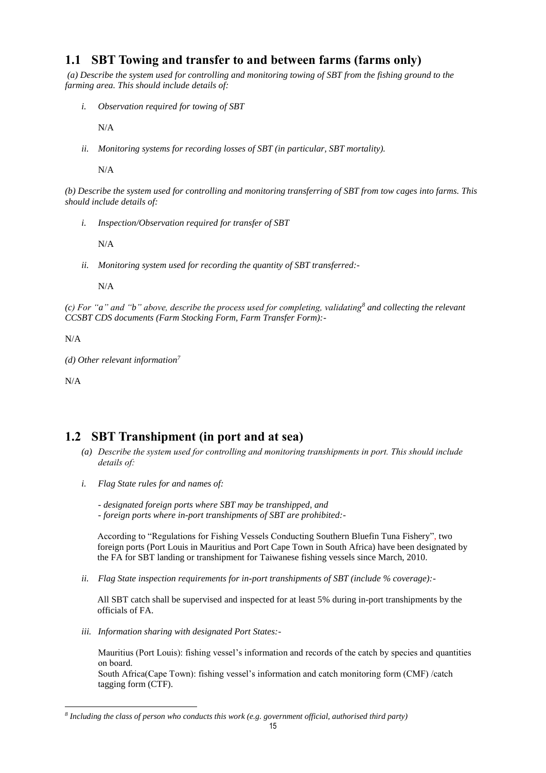### **1.1 SBT Towing and transfer to and between farms (farms only)**

*(a) Describe the system used for controlling and monitoring towing of SBT from the fishing ground to the farming area. This should include details of:*

*i. Observation required for towing of SBT* 

N/A

*ii. Monitoring systems for recording losses of SBT (in particular, SBT mortality).*

N/A

*(b) Describe the system used for controlling and monitoring transferring of SBT from tow cages into farms. This should include details of:*

*i. Inspection/Observation required for transfer of SBT* 

N/A

*ii. Monitoring system used for recording the quantity of SBT transferred:-*

N/A

*(c) For "a" and "b" above, describe the process used for completing, validating<sup>8</sup> and collecting the relevant CCSBT CDS documents (Farm Stocking Form, Farm Transfer Form):-*

N/A

*(d) Other relevant information<sup>7</sup>*

N/A

 $\overline{a}$ 

## **1.2 SBT Transhipment (in port and at sea)**

- *(a) Describe the system used for controlling and monitoring transhipments in port. This should include details of:*
- *i. Flag State rules for and names of:*

*- designated foreign ports where SBT may be transhipped, and - foreign ports where in-port transhipments of SBT are prohibited:-*

According to "Regulations for Fishing Vessels Conducting Southern Bluefin Tuna Fishery", two foreign ports (Port Louis in Mauritius and Port Cape Town in South Africa) have been designated by the FA for SBT landing or transhipment for Taiwanese fishing vessels since March, 2010.

*ii. Flag State inspection requirements for in-port transhipments of SBT (include % coverage):-*

All SBT catch shall be supervised and inspected for at least 5% during in-port transhipments by the officials of FA.

*iii. Information sharing with designated Port States:-*

Mauritius (Port Louis): fishing vessel's information and records of the catch by species and quantities on board.

South Africa(Cape Town): fishing vessel's information and catch monitoring form (CMF) /catch tagging form (CTF).

*<sup>8</sup> Including the class of person who conducts this work (e.g. government official, authorised third party)*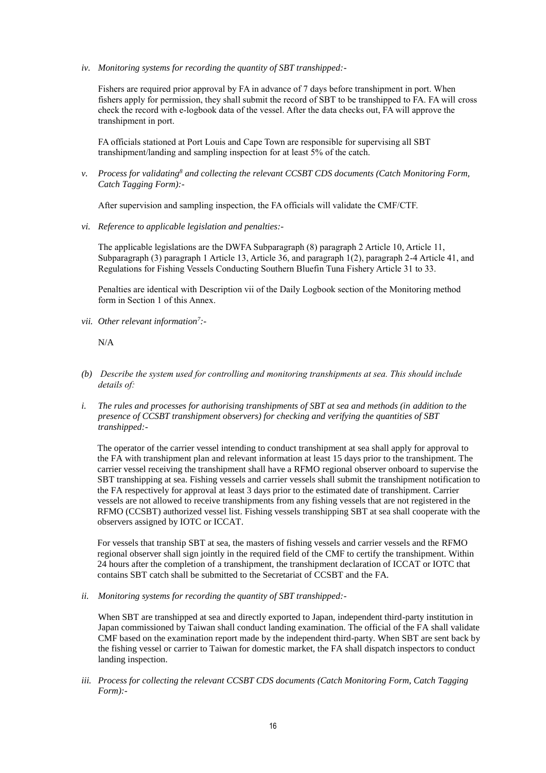*iv. Monitoring systems for recording the quantity of SBT transhipped:-*

Fishers are required prior approval by FA in advance of 7 days before transhipment in port. When fishers apply for permission, they shall submit the record of SBT to be transhipped to FA. FA will cross check the record with e-logbook data of the vessel. After the data checks out, FA will approve the transhipment in port.

FA officials stationed at Port Louis and Cape Town are responsible for supervising all SBT transhipment/landing and sampling inspection for at least 5% of the catch.

*v. Process for validating<sup>8</sup> and collecting the relevant CCSBT CDS documents (Catch Monitoring Form, Catch Tagging Form):-*

After supervision and sampling inspection, the FA officials will validate the CMF/CTF.

*vi. Reference to applicable legislation and penalties:-*

The applicable legislations are the DWFA Subparagraph (8) paragraph 2 Article 10, Article 11, Subparagraph (3) paragraph 1 Article 13, Article 36, and paragraph 1(2), paragraph 2-4 Article 41, and Regulations for Fishing Vessels Conducting Southern Bluefin Tuna Fishery Article 31 to 33.

Penalties are identical with Description vii of the Daily Logbook section of the Monitoring method form in Section 1 of this Annex.

*vii. Other relevant information<sup>7</sup> :-*

N/A

- *(b) Describe the system used for controlling and monitoring transhipments at sea. This should include details of:*
- *i. The rules and processes for authorising transhipments of SBT at sea and methods (in addition to the presence of CCSBT transhipment observers) for checking and verifying the quantities of SBT transhipped:-*

The operator of the carrier vessel intending to conduct transhipment at sea shall apply for approval to the FA with transhipment plan and relevant information at least 15 days prior to the transhipment. The carrier vessel receiving the transhipment shall have a RFMO regional observer onboard to supervise the SBT transhipping at sea. Fishing vessels and carrier vessels shall submit the transhipment notification to the FA respectively for approval at least 3 days prior to the estimated date of transhipment. Carrier vessels are not allowed to receive transhipments from any fishing vessels that are not registered in the RFMO (CCSBT) authorized vessel list. Fishing vessels transhipping SBT at sea shall cooperate with the observers assigned by IOTC or ICCAT.

For vessels that tranship SBT at sea, the masters of fishing vessels and carrier vessels and the RFMO regional observer shall sign jointly in the required field of the CMF to certify the transhipment. Within 24 hours after the completion of a transhipment, the transhipment declaration of ICCAT or IOTC that contains SBT catch shall be submitted to the Secretariat of CCSBT and the FA.

*ii. Monitoring systems for recording the quantity of SBT transhipped:-*

When SBT are transhipped at sea and directly exported to Japan, independent third-party institution in Japan commissioned by Taiwan shall conduct landing examination. The official of the FA shall validate CMF based on the examination report made by the independent third-party. When SBT are sent back by the fishing vessel or carrier to Taiwan for domestic market, the FA shall dispatch inspectors to conduct landing inspection.

*iii. Process for collecting the relevant CCSBT CDS documents (Catch Monitoring Form, Catch Tagging Form):-*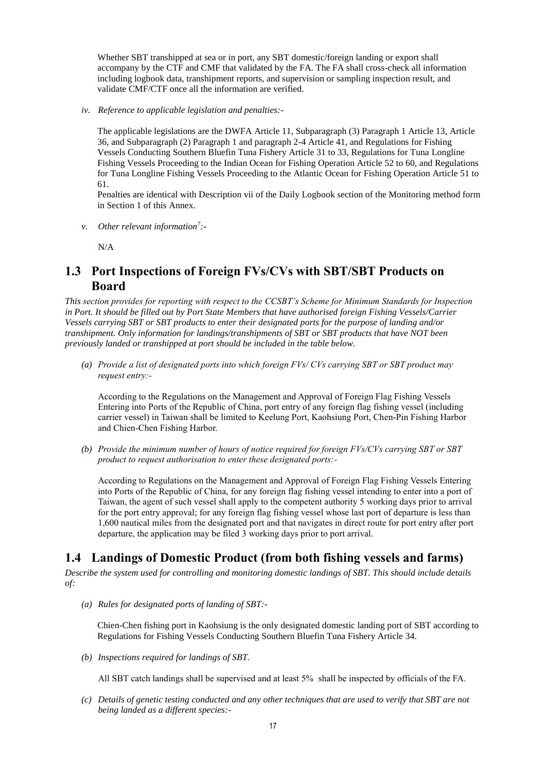Whether SBT transhipped at sea or in port, any SBT domestic/foreign landing or export shall accompany by the CTF and CMF that validated by the FA. The FA shall cross-check all information including logbook data, transhipment reports, and supervision or sampling inspection result, and validate CMF/CTF once all the information are verified.

*iv. Reference to applicable legislation and penalties:-*

The applicable legislations are the DWFA Article 11, Subparagraph (3) Paragraph 1 Article 13, Article 36, and Subparagraph (2) Paragraph 1 and paragraph 2-4 Article 41, and Regulations for Fishing Vessels Conducting Southern Bluefin Tuna Fishery Article 31 to 33, Regulations for Tuna Longline Fishing Vessels Proceeding to the Indian Ocean for Fishing Operation Article 52 to 60, and Regulations for Tuna Longline Fishing Vessels Proceeding to the Atlantic Ocean for Fishing Operation Article 51 to 61.

Penalties are identical with Description vii of the Daily Logbook section of the Monitoring method form in Section 1 of this Annex.

*v. Other relevant information<sup>7</sup> :-*

N/A

### **1.3 Port Inspections of Foreign FVs/CVs with SBT/SBT Products on Board**

*This section provides for reporting with respect to the CCSBT's Scheme for Minimum Standards for Inspection in Port. It should be filled out by Port State Members that have authorised foreign Fishing Vessels/Carrier Vessels carrying SBT or SBT products to enter their designated ports for the purpose of landing and/or transhipment. Only information for landings/transhipments of SBT or SBT products that have NOT been previously landed or transhipped at port should be included in the table below.*

*(a) Provide a list of designated ports into which foreign FVs/ CVs carrying SBT or SBT product may request entry:-*

According to the Regulations on the Management and Approval of Foreign Flag Fishing Vessels Entering into Ports of the Republic of China, port entry of any foreign flag fishing vessel (including carrier vessel) in Taiwan shall be limited to Keelung Port, Kaohsiung Port, Chen-Pin Fishing Harbor and Chien-Chen Fishing Harbor.

*(b) Provide the minimum number of hours of notice required for foreign FVs/CVs carrying SBT or SBT product to request authorisation to enter these designated ports:-*

According to Regulations on the Management and Approval of Foreign Flag Fishing Vessels Entering into Ports of the Republic of China, for any foreign flag fishing vessel intending to enter into a port of Taiwan, the agent of such vessel shall apply to the competent authority 5 working days prior to arrival for the port entry approval; for any foreign flag fishing vessel whose last port of departure is less than 1,600 nautical miles from the designated port and that navigates in direct route for port entry after port departure, the application may be filed 3 working days prior to port arrival.

## **1.4 Landings of Domestic Product (from both fishing vessels and farms)**

*Describe the system used for controlling and monitoring domestic landings of SBT. This should include details of:*

*(a) Rules for designated ports of landing of SBT:-*

Chien-Chen fishing port in Kaohsiung is the only designated domestic landing port of SBT according to Regulations for Fishing Vessels Conducting Southern Bluefin Tuna Fishery Article 34.

*(b) Inspections required for landings of SBT.* 

All SBT catch landings shall be supervised and at least 5% shall be inspected by officials of the FA.

*(c) Details of genetic testing conducted and any other techniques that are used to verify that SBT are not being landed as a different species:-*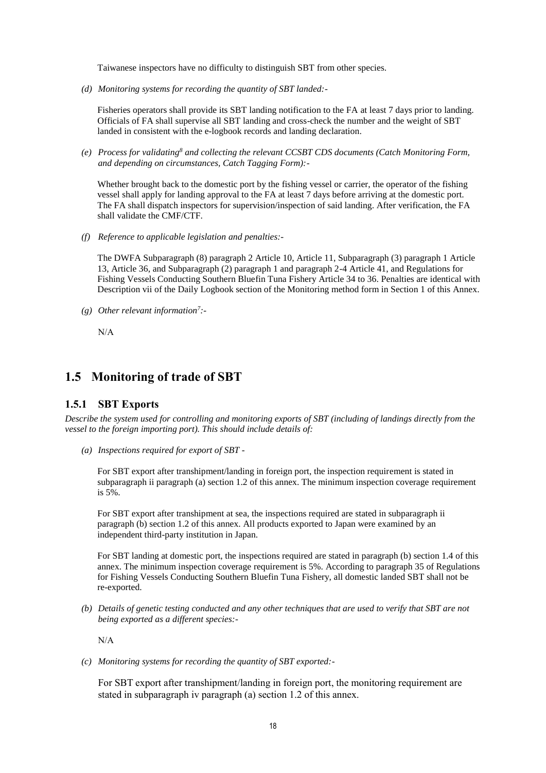Taiwanese inspectors have no difficulty to distinguish SBT from other species.

*(d) Monitoring systems for recording the quantity of SBT landed:-*

Fisheries operators shall provide its SBT landing notification to the FA at least 7 days prior to landing. Officials of FA shall supervise all SBT landing and cross-check the number and the weight of SBT landed in consistent with the e-logbook records and landing declaration.

*(e) Process for validating<sup>8</sup> and collecting the relevant CCSBT CDS documents (Catch Monitoring Form, and depending on circumstances, Catch Tagging Form):-*

Whether brought back to the domestic port by the fishing vessel or carrier, the operator of the fishing vessel shall apply for landing approval to the FA at least 7 days before arriving at the domestic port. The FA shall dispatch inspectors for supervision/inspection of said landing. After verification, the FA shall validate the CMF/CTF.

*(f) Reference to applicable legislation and penalties:-*

The DWFA Subparagraph (8) paragraph 2 Article 10, Article 11, Subparagraph (3) paragraph 1 Article 13, Article 36, and Subparagraph (2) paragraph 1 and paragraph 2-4 Article 41, and Regulations for Fishing Vessels Conducting Southern Bluefin Tuna Fishery Article 34 to 36. Penalties are identical with Description vii of the Daily Logbook section of the Monitoring method form in Section 1 of this Annex.

*(g) Other relevant information<sup>7</sup> :-*

N/A

### **1.5 Monitoring of trade of SBT**

#### **1.5.1 SBT Exports**

*Describe the system used for controlling and monitoring exports of SBT (including of landings directly from the vessel to the foreign importing port). This should include details of:*

*(a) Inspections required for export of SBT -*

For SBT export after transhipment/landing in foreign port, the inspection requirement is stated in subparagraph ii paragraph (a) section 1.2 of this annex. The minimum inspection coverage requirement is 5%.

For SBT export after transhipment at sea, the inspections required are stated in subparagraph ii paragraph (b) section 1.2 of this annex. All products exported to Japan were examined by an independent third-party institution in Japan.

For SBT landing at domestic port, the inspections required are stated in paragraph (b) section 1.4 of this annex. The minimum inspection coverage requirement is 5%. According to paragraph 35 of Regulations for Fishing Vessels Conducting Southern Bluefin Tuna Fishery, all domestic landed SBT shall not be re-exported.

*(b) Details of genetic testing conducted and any other techniques that are used to verify that SBT are not being exported as a different species:-*

N/A

*(c) Monitoring systems for recording the quantity of SBT exported:-*

For SBT export after transhipment/landing in foreign port, the monitoring requirement are stated in subparagraph iv paragraph (a) section 1.2 of this annex.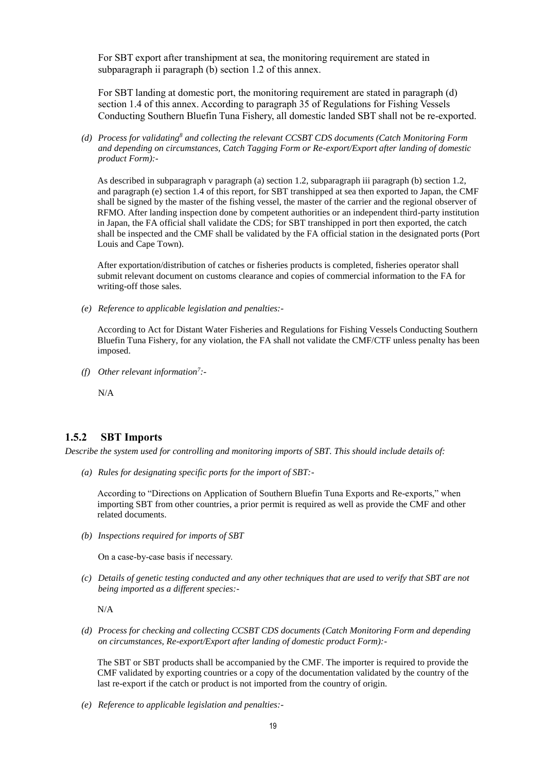For SBT export after transhipment at sea, the monitoring requirement are stated in subparagraph ii paragraph (b) section 1.2 of this annex.

For SBT landing at domestic port, the monitoring requirement are stated in paragraph (d) section 1.4 of this annex. According to paragraph 35 of Regulations for Fishing Vessels Conducting Southern Bluefin Tuna Fishery, all domestic landed SBT shall not be re-exported.

*(d) Process for validating<sup>8</sup> and collecting the relevant CCSBT CDS documents (Catch Monitoring Form and depending on circumstances, Catch Tagging Form or Re-export/Export after landing of domestic product Form):-*

As described in subparagraph v paragraph (a) section 1.2, subparagraph iii paragraph (b) section 1.2, and paragraph (e) section 1.4 of this report, for SBT transhipped at sea then exported to Japan, the CMF shall be signed by the master of the fishing vessel, the master of the carrier and the regional observer of RFMO. After landing inspection done by competent authorities or an independent third-party institution in Japan, the FA official shall validate the CDS; for SBT transhipped in port then exported, the catch shall be inspected and the CMF shall be validated by the FA official station in the designated ports (Port Louis and Cape Town).

After exportation/distribution of catches or fisheries products is completed, fisheries operator shall submit relevant document on customs clearance and copies of commercial information to the FA for writing-off those sales.

*(e) Reference to applicable legislation and penalties:-*

According to Act for Distant Water Fisheries and Regulations for Fishing Vessels Conducting Southern Bluefin Tuna Fishery, for any violation, the FA shall not validate the CMF/CTF unless penalty has been imposed.

*(f) Other relevant information<sup>7</sup> :-*

N/A

### **1.5.2 SBT Imports**

*Describe the system used for controlling and monitoring imports of SBT. This should include details of:*

*(a) Rules for designating specific ports for the import of SBT:-*

According to "Directions on Application of Southern Bluefin Tuna Exports and Re-exports," when importing SBT from other countries, a prior permit is required as well as provide the CMF and other related documents.

*(b) Inspections required for imports of SBT* 

On a case-by-case basis if necessary.

*(c) Details of genetic testing conducted and any other techniques that are used to verify that SBT are not being imported as a different species:-*

N/A

*(d) Process for checking and collecting CCSBT CDS documents (Catch Monitoring Form and depending on circumstances, Re-export/Export after landing of domestic product Form):-*

The SBT or SBT products shall be accompanied by the CMF. The importer is required to provide the CMF validated by exporting countries or a copy of the documentation validated by the country of the last re-export if the catch or product is not imported from the country of origin.

*(e) Reference to applicable legislation and penalties:-*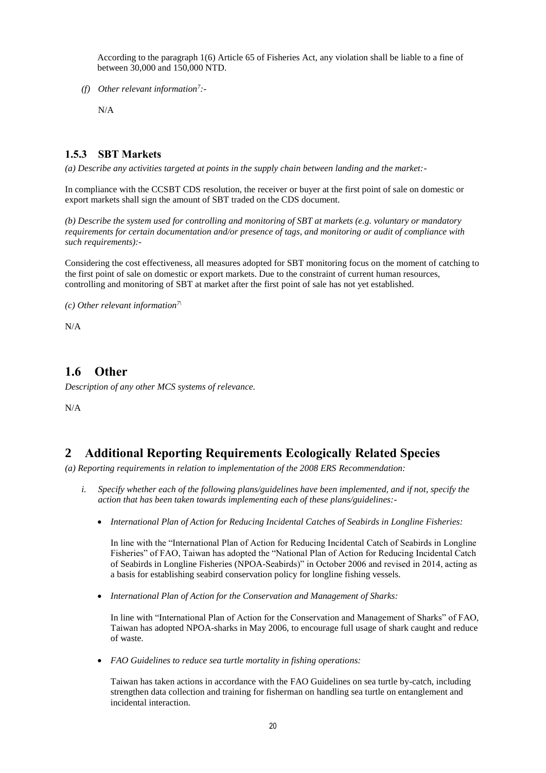According to the paragraph 1(6) Article 65 of Fisheries Act, any violation shall be liable to a fine of between 30,000 and 150,000 NTD.

*(f) Other relevant information<sup>7</sup> :-*

N/A

### **1.5.3 SBT Markets**

*(a) Describe any activities targeted at points in the supply chain between landing and the market:-*

In compliance with the CCSBT CDS resolution, the receiver or buyer at the first point of sale on domestic or export markets shall sign the amount of SBT traded on the CDS document.

*(b) Describe the system used for controlling and monitoring of SBT at markets (e.g. voluntary or mandatory requirements for certain documentation and/or presence of tags, and monitoring or audit of compliance with such requirements):-*

Considering the cost effectiveness, all measures adopted for SBT monitoring focus on the moment of catching to the first point of sale on domestic or export markets. Due to the constraint of current human resources, controlling and monitoring of SBT at market after the first point of sale has not yet established.

*(c) Other relevant information7\*

N/A

### **1.6 Other**

*Description of any other MCS systems of relevance.*

N/A

### **2 Additional Reporting Requirements Ecologically Related Species**

*(a) Reporting requirements in relation to implementation of the 2008 ERS Recommendation:*

- *i. Specify whether each of the following plans/guidelines have been implemented, and if not, specify the action that has been taken towards implementing each of these plans/guidelines:-*
	- *International Plan of Action for Reducing Incidental Catches of Seabirds in Longline Fisheries:*

In line with the "International Plan of Action for Reducing Incidental Catch of Seabirds in Longline Fisheries" of FAO, Taiwan has adopted the "National Plan of Action for Reducing Incidental Catch of Seabirds in Longline Fisheries (NPOA-Seabirds)" in October 2006 and revised in 2014, acting as a basis for establishing seabird conservation policy for longline fishing vessels.

*International Plan of Action for the Conservation and Management of Sharks:*

In line with "International Plan of Action for the Conservation and Management of Sharks" of FAO, Taiwan has adopted NPOA-sharks in May 2006, to encourage full usage of shark caught and reduce of waste.

*FAO Guidelines to reduce sea turtle mortality in fishing operations:*

Taiwan has taken actions in accordance with the FAO Guidelines on sea turtle by-catch, including strengthen data collection and training for fisherman on handling sea turtle on entanglement and incidental interaction.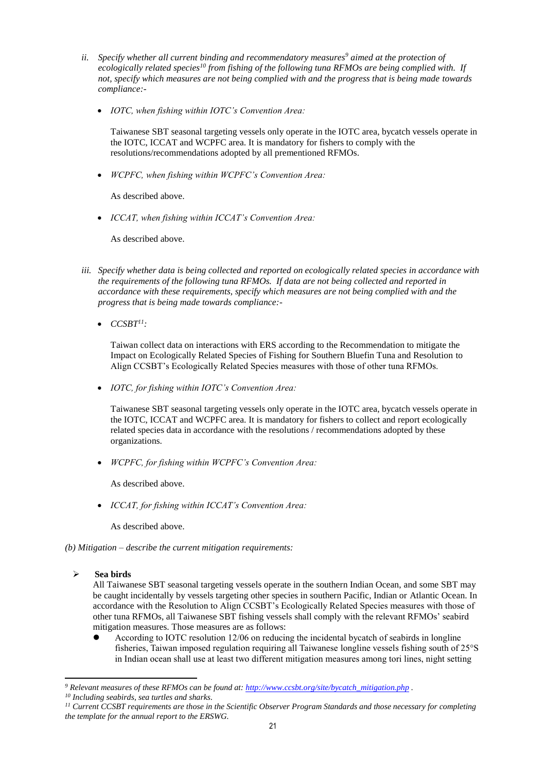- *ii. Specify whether all current binding and recommendatory measures<sup>9</sup> aimed at the protection of ecologically related species<sup>10</sup> from fishing of the following tuna RFMOs are being complied with. If not, specify which measures are not being complied with and the progress that is being made towards compliance:-*
	- *IOTC, when fishing within IOTC's Convention Area:*

Taiwanese SBT seasonal targeting vessels only operate in the IOTC area, bycatch vessels operate in the IOTC, ICCAT and WCPFC area. It is mandatory for fishers to comply with the resolutions/recommendations adopted by all prementioned RFMOs.

*WCPFC, when fishing within WCPFC's Convention Area:*

As described above.

*ICCAT, when fishing within ICCAT's Convention Area:*

As described above.

- *iii. Specify whether data is being collected and reported on ecologically related species in accordance with the requirements of the following tuna RFMOs. If data are not being collected and reported in accordance with these requirements, specify which measures are not being complied with and the progress that is being made towards compliance:-*
	- $\bullet$  *CCSBT<sup>11</sup>*:

Taiwan collect data on interactions with ERS according to the Recommendation to mitigate the Impact on Ecologically Related Species of Fishing for Southern Bluefin Tuna and Resolution to Align CCSBT's Ecologically Related Species measures with those of other tuna RFMOs.

*IOTC, for fishing within IOTC's Convention Area:*

Taiwanese SBT seasonal targeting vessels only operate in the IOTC area, bycatch vessels operate in the IOTC, ICCAT and WCPFC area. It is mandatory for fishers to collect and report ecologically related species data in accordance with the resolutions / recommendations adopted by these organizations.

*WCPFC, for fishing within WCPFC's Convention Area:*

As described above.

*ICCAT, for fishing within ICCAT's Convention Area:*

As described above.

*(b) Mitigation – describe the current mitigation requirements:*

**Sea birds**

 $\overline{a}$ 

All Taiwanese SBT seasonal targeting vessels operate in the southern Indian Ocean, and some SBT may be caught incidentally by vessels targeting other species in southern Pacific, Indian or Atlantic Ocean. In accordance with the Resolution to Align CCSBT's Ecologically Related Species measures with those of other tuna RFMOs, all Taiwanese SBT fishing vessels shall comply with the relevant RFMOs' seabird mitigation measures. Those measures are as follows:

 According to IOTC resolution 12/06 on reducing the incidental bycatch of seabirds in longline fisheries, Taiwan imposed regulation requiring all Taiwanese longline vessels fishing south of 25°S in Indian ocean shall use at least two different mitigation measures among tori lines, night setting

*<sup>9</sup> Relevant measures of these RFMOs can be found at: [http://www.ccsbt.org/site/bycatch\\_mitigation.php](http://www.ccsbt.org/site/bycatch_mitigation.php) .*

*<sup>10</sup> Including seabirds, sea turtles and sharks.*

*<sup>11</sup> Current CCSBT requirements are those in the Scientific Observer Program Standards and those necessary for completing the template for the annual report to the ERSWG.*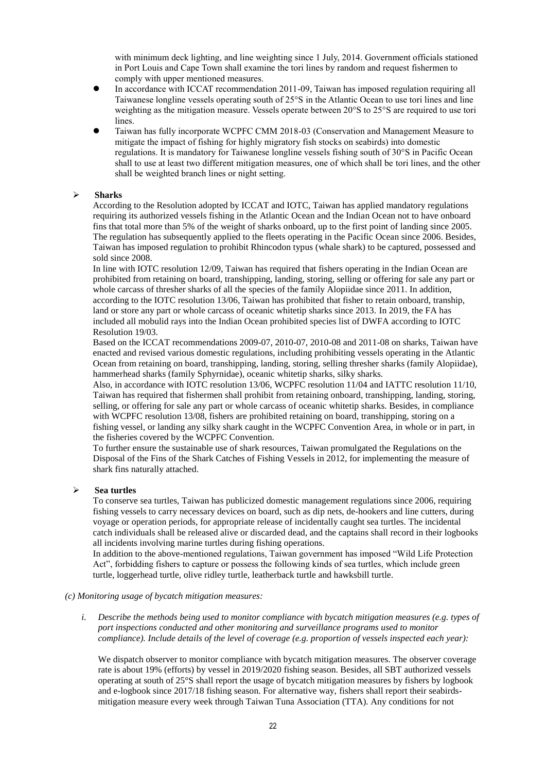with minimum deck lighting, and line weighting since 1 July, 2014. Government officials stationed in Port Louis and Cape Town shall examine the tori lines by random and request fishermen to comply with upper mentioned measures.

- In accordance with ICCAT recommendation 2011-09, Taiwan has imposed regulation requiring all Taiwanese longline vessels operating south of 25°S in the Atlantic Ocean to use tori lines and line weighting as the mitigation measure. Vessels operate between 20°S to 25°S are required to use tori lines.
- Taiwan has fully incorporate WCPFC CMM 2018-03 (Conservation and Management Measure to mitigate the impact of fishing for highly migratory fish stocks on seabirds) into domestic regulations. It is mandatory for Taiwanese longline vessels fishing south of 30°S in Pacific Ocean shall to use at least two different mitigation measures, one of which shall be tori lines, and the other shall be weighted branch lines or night setting.

#### **Sharks**

According to the Resolution adopted by ICCAT and IOTC, Taiwan has applied mandatory regulations requiring its authorized vessels fishing in the Atlantic Ocean and the Indian Ocean not to have onboard fins that total more than 5% of the weight of sharks onboard, up to the first point of landing since 2005. The regulation has subsequently applied to the fleets operating in the Pacific Ocean since 2006. Besides, Taiwan has imposed regulation to prohibit Rhincodon typus (whale shark) to be captured, possessed and sold since 2008.

In line with IOTC resolution 12/09, Taiwan has required that fishers operating in the Indian Ocean are prohibited from retaining on board, transhipping, landing, storing, selling or offering for sale any part or whole carcass of thresher sharks of all the species of the family Alopiidae since 2011. In addition, according to the IOTC resolution 13/06, Taiwan has prohibited that fisher to retain onboard, tranship, land or store any part or whole carcass of oceanic whitetip sharks since 2013. In 2019, the FA has included all mobulid rays into the Indian Ocean prohibited species list of DWFA according to IOTC Resolution 19/03.

Based on the ICCAT recommendations 2009-07, 2010-07, 2010-08 and 2011-08 on sharks, Taiwan have enacted and revised various domestic regulations, including prohibiting vessels operating in the Atlantic Ocean from retaining on board, transhipping, landing, storing, selling thresher sharks (family Alopiidae), hammerhead sharks (family Sphyrnidae), oceanic whitetip sharks, silky sharks.

Also, in accordance with IOTC resolution 13/06, WCPFC resolution 11/04 and IATTC resolution 11/10, Taiwan has required that fishermen shall prohibit from retaining onboard, transhipping, landing, storing, selling, or offering for sale any part or whole carcass of oceanic whitetip sharks. Besides, in compliance with WCPFC resolution 13/08, fishers are prohibited retaining on board, transhipping, storing on a fishing vessel, or landing any silky shark caught in the WCPFC Convention Area, in whole or in part, in the fisheries covered by the WCPFC Convention.

To further ensure the sustainable use of shark resources, Taiwan promulgated the Regulations on the Disposal of the Fins of the Shark Catches of Fishing Vessels in 2012, for implementing the measure of shark fins naturally attached.

#### **Sea turtles**

To conserve sea turtles, Taiwan has publicized domestic management regulations since 2006, requiring fishing vessels to carry necessary devices on board, such as dip nets, de-hookers and line cutters, during voyage or operation periods, for appropriate release of incidentally caught sea turtles. The incidental catch individuals shall be released alive or discarded dead, and the captains shall record in their logbooks all incidents involving marine turtles during fishing operations.

In addition to the above-mentioned regulations, Taiwan government has imposed "Wild Life Protection Act", forbidding fishers to capture or possess the following kinds of sea turtles, which include green turtle, loggerhead turtle, olive ridley turtle, leatherback turtle and hawksbill turtle.

#### *(c) Monitoring usage of bycatch mitigation measures:*

*i. Describe the methods being used to monitor compliance with bycatch mitigation measures (e.g. types of port inspections conducted and other monitoring and surveillance programs used to monitor compliance). Include details of the level of coverage (e.g. proportion of vessels inspected each year):*

We dispatch observer to monitor compliance with bycatch mitigation measures. The observer coverage rate is about 19% (efforts) by vessel in 2019/2020 fishing season. Besides, all SBT authorized vessels operating at south of 25°S shall report the usage of bycatch mitigation measures by fishers by logbook and e-logbook since 2017/18 fishing season. For alternative way, fishers shall report their seabirdsmitigation measure every week through Taiwan Tuna Association (TTA). Any conditions for not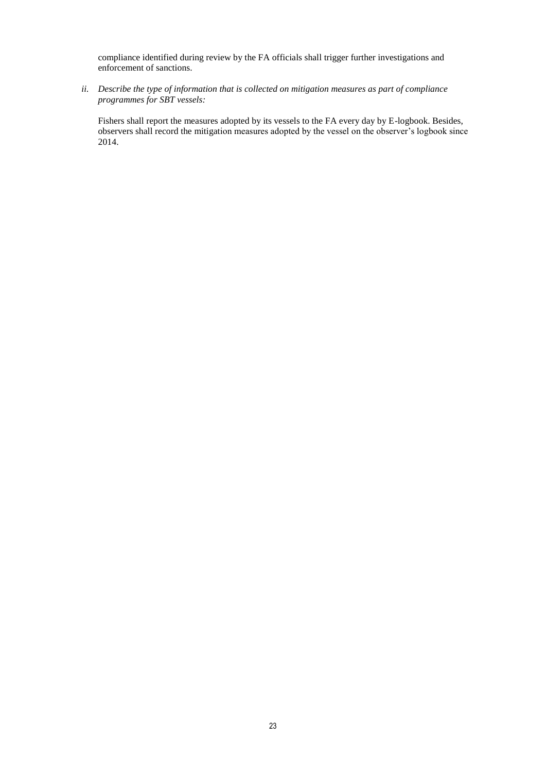compliance identified during review by the FA officials shall trigger further investigations and enforcement of sanctions.

*ii. Describe the type of information that is collected on mitigation measures as part of compliance programmes for SBT vessels:*

Fishers shall report the measures adopted by its vessels to the FA every day by E-logbook. Besides, observers shall record the mitigation measures adopted by the vessel on the observer's logbook since 2014.